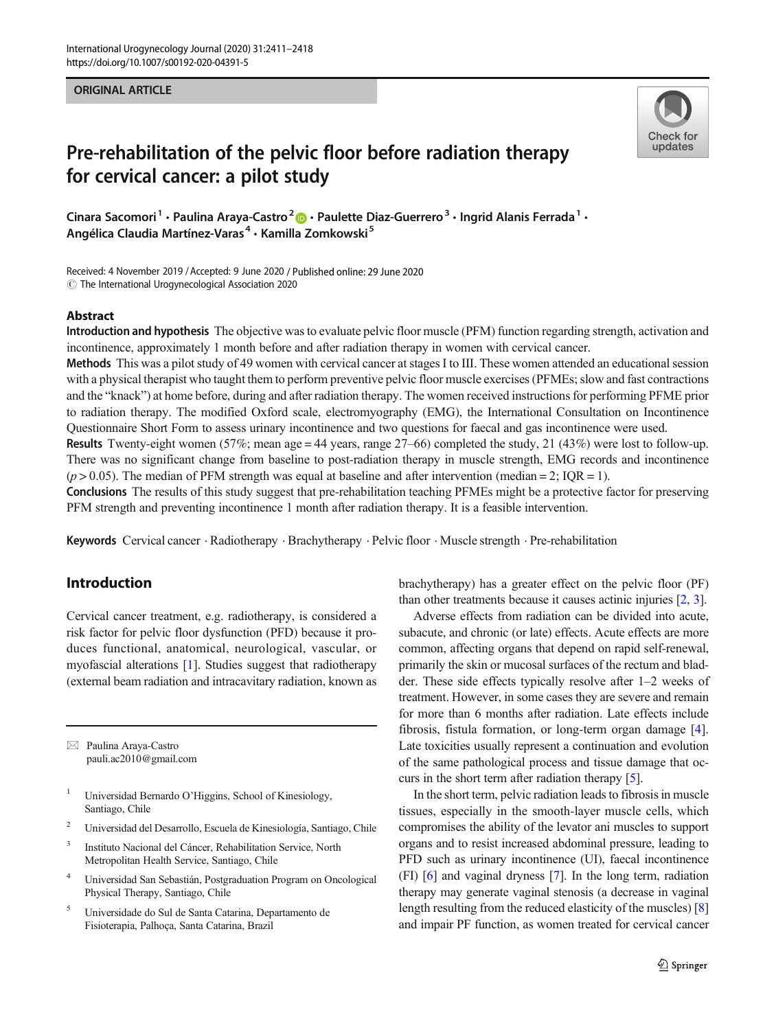#### ORIGINAL ARTICLE



# Pre-rehabilitation of the pelvic floor before radiation therapy for cervical cancer: a pilot study

Cinara Sacomori<sup>1</sup> · Paulina Araya-Castro<sup>2</sup>  $\bullet$  · Paulette Diaz-Guerrero<sup>3</sup> · Ingrid Alanis Ferrada<sup>1</sup> · Angélica Claudia Martínez-Varas<sup>4</sup> · Kamilla Zomkowski<sup>5</sup>

Received: 4 November 2019 /Accepted: 9 June 2020 / Published online: 29 June 2020  $\odot$  The International Urogynecological Association 2020

#### Abstract

Introduction and hypothesis The objective was to evaluate pelvic floor muscle (PFM) function regarding strength, activation and incontinence, approximately 1 month before and after radiation therapy in women with cervical cancer.

Methods This was a pilot study of 49 women with cervical cancer at stages I to III. These women attended an educational session with a physical therapist who taught them to perform preventive pelvic floor muscle exercises (PFMEs; slow and fast contractions and the "knack") at home before, during and after radiation therapy. The women received instructions for performing PFME prior to radiation therapy. The modified Oxford scale, electromyography (EMG), the International Consultation on Incontinence Questionnaire Short Form to assess urinary incontinence and two questions for faecal and gas incontinence were used.

Results Twenty-eight women (57%; mean age = 44 years, range 27–66) completed the study, 21 (43%) were lost to follow-up. There was no significant change from baseline to post-radiation therapy in muscle strength, EMG records and incontinence  $(p > 0.05)$ . The median of PFM strength was equal at baseline and after intervention (median = 2; IQR = 1).

Conclusions The results of this study suggest that pre-rehabilitation teaching PFMEs might be a protective factor for preserving PFM strength and preventing incontinence 1 month after radiation therapy. It is a feasible intervention.

Keywords Cervical cancer . Radiotherapy . Brachytherapy . Pelvic floor . Muscle strength . Pre-rehabilitation

## Introduction

Cervical cancer treatment, e.g. radiotherapy, is considered a risk factor for pelvic floor dysfunction (PFD) because it produces functional, anatomical, neurological, vascular, or myofascial alterations [[1](#page-6-0)]. Studies suggest that radiotherapy (external beam radiation and intracavitary radiation, known as

 $\boxtimes$  Paulina Araya-Castro [pauli.ac2010@gmail.com](mailto:pauli.ac2010@gmail.com)

- <sup>1</sup> Universidad Bernardo O'Higgins, School of Kinesiology, Santiago, Chile
- <sup>2</sup> Universidad del Desarrollo, Escuela de Kinesiología, Santiago, Chile
- Instituto Nacional del Cáncer, Rehabilitation Service, North Metropolitan Health Service, Santiago, Chile
- <sup>4</sup> Universidad San Sebastián, Postgraduation Program on Oncological Physical Therapy, Santiago, Chile
- <sup>5</sup> Universidade do Sul de Santa Catarina, Departamento de Fisioterapia, Palhoça, Santa Catarina, Brazil

brachytherapy) has a greater effect on the pelvic floor (PF) than other treatments because it causes actinic injuries [\[2](#page-6-0), [3](#page-6-0)].

Adverse effects from radiation can be divided into acute, subacute, and chronic (or late) effects. Acute effects are more common, affecting organs that depend on rapid self-renewal, primarily the skin or mucosal surfaces of the rectum and bladder. These side effects typically resolve after 1–2 weeks of treatment. However, in some cases they are severe and remain for more than 6 months after radiation. Late effects include fibrosis, fistula formation, or long-term organ damage [[4\]](#page-6-0). Late toxicities usually represent a continuation and evolution of the same pathological process and tissue damage that occurs in the short term after radiation therapy [\[5](#page-6-0)].

In the short term, pelvic radiation leads to fibrosis in muscle tissues, especially in the smooth-layer muscle cells, which compromises the ability of the levator ani muscles to support organs and to resist increased abdominal pressure, leading to PFD such as urinary incontinence (UI), faecal incontinence (FI) [[6](#page-6-0)] and vaginal dryness [[7\]](#page-6-0). In the long term, radiation therapy may generate vaginal stenosis (a decrease in vaginal length resulting from the reduced elasticity of the muscles) [\[8](#page-6-0)] and impair PF function, as women treated for cervical cancer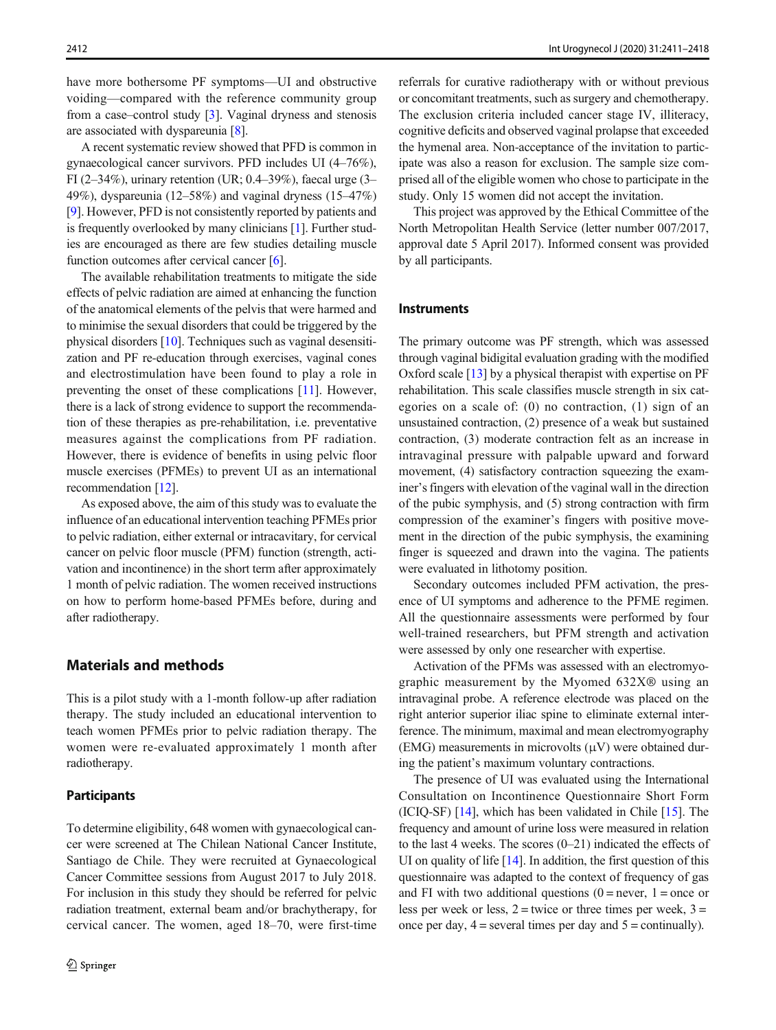have more bothersome PF symptoms—UI and obstructive voiding—compared with the reference community group from a case–control study [\[3](#page-6-0)]. Vaginal dryness and stenosis are associated with dyspareunia [\[8\]](#page-6-0).

A recent systematic review showed that PFD is common in gynaecological cancer survivors. PFD includes UI (4–76%), FI (2–34%), urinary retention (UR;  $0.4$ –39%), faecal urge (3– 49%), dyspareunia (12–58%) and vaginal dryness (15–47%) [\[9](#page-6-0)]. However, PFD is not consistently reported by patients and is frequently overlooked by many clinicians [\[1](#page-6-0)]. Further studies are encouraged as there are few studies detailing muscle function outcomes after cervical cancer [[6\]](#page-6-0).

The available rehabilitation treatments to mitigate the side effects of pelvic radiation are aimed at enhancing the function of the anatomical elements of the pelvis that were harmed and to minimise the sexual disorders that could be triggered by the physical disorders [\[10](#page-6-0)]. Techniques such as vaginal desensitization and PF re-education through exercises, vaginal cones and electrostimulation have been found to play a role in preventing the onset of these complications [\[11\]](#page-6-0). However, there is a lack of strong evidence to support the recommendation of these therapies as pre-rehabilitation, i.e. preventative measures against the complications from PF radiation. However, there is evidence of benefits in using pelvic floor muscle exercises (PFMEs) to prevent UI as an international recommendation [[12\]](#page-6-0).

As exposed above, the aim of this study was to evaluate the influence of an educational intervention teaching PFMEs prior to pelvic radiation, either external or intracavitary, for cervical cancer on pelvic floor muscle (PFM) function (strength, activation and incontinence) in the short term after approximately 1 month of pelvic radiation. The women received instructions on how to perform home-based PFMEs before, during and after radiotherapy.

# Materials and methods

This is a pilot study with a 1-month follow-up after radiation therapy. The study included an educational intervention to teach women PFMEs prior to pelvic radiation therapy. The women were re-evaluated approximately 1 month after radiotherapy.

## **Participants**

To determine eligibility, 648 women with gynaecological cancer were screened at The Chilean National Cancer Institute, Santiago de Chile. They were recruited at Gynaecological Cancer Committee sessions from August 2017 to July 2018. For inclusion in this study they should be referred for pelvic radiation treatment, external beam and/or brachytherapy, for cervical cancer. The women, aged 18–70, were first-time referrals for curative radiotherapy with or without previous or concomitant treatments, such as surgery and chemotherapy. The exclusion criteria included cancer stage IV, illiteracy, cognitive deficits and observed vaginal prolapse that exceeded the hymenal area. Non-acceptance of the invitation to participate was also a reason for exclusion. The sample size comprised all of the eligible women who chose to participate in the study. Only 15 women did not accept the invitation.

This project was approved by the Ethical Committee of the North Metropolitan Health Service (letter number 007/2017, approval date 5 April 2017). Informed consent was provided by all participants.

#### **Instruments**

The primary outcome was PF strength, which was assessed through vaginal bidigital evaluation grading with the modified Oxford scale [\[13\]](#page-6-0) by a physical therapist with expertise on PF rehabilitation. This scale classifies muscle strength in six categories on a scale of: (0) no contraction, (1) sign of an unsustained contraction, (2) presence of a weak but sustained contraction, (3) moderate contraction felt as an increase in intravaginal pressure with palpable upward and forward movement, (4) satisfactory contraction squeezing the examiner's fingers with elevation of the vaginal wall in the direction of the pubic symphysis, and (5) strong contraction with firm compression of the examiner's fingers with positive movement in the direction of the pubic symphysis, the examining finger is squeezed and drawn into the vagina. The patients were evaluated in lithotomy position.

Secondary outcomes included PFM activation, the presence of UI symptoms and adherence to the PFME regimen. All the questionnaire assessments were performed by four well-trained researchers, but PFM strength and activation were assessed by only one researcher with expertise.

Activation of the PFMs was assessed with an electromyographic measurement by the Myomed 632X® using an intravaginal probe. A reference electrode was placed on the right anterior superior iliac spine to eliminate external interference. The minimum, maximal and mean electromyography  $(EMG)$  measurements in microvolts  $(µV)$  were obtained during the patient's maximum voluntary contractions.

The presence of UI was evaluated using the International Consultation on Incontinence Questionnaire Short Form (ICIQ-SF) [\[14](#page-6-0)], which has been validated in Chile [[15](#page-6-0)]. The frequency and amount of urine loss were measured in relation to the last 4 weeks. The scores (0–21) indicated the effects of UI on quality of life  $[14]$  $[14]$  $[14]$ . In addition, the first question of this questionnaire was adapted to the context of frequency of gas and FI with two additional questions  $(0 =$  never,  $1 =$  once or less per week or less,  $2 =$  twice or three times per week,  $3 =$ once per day,  $4$  = several times per day and  $5$  = continually).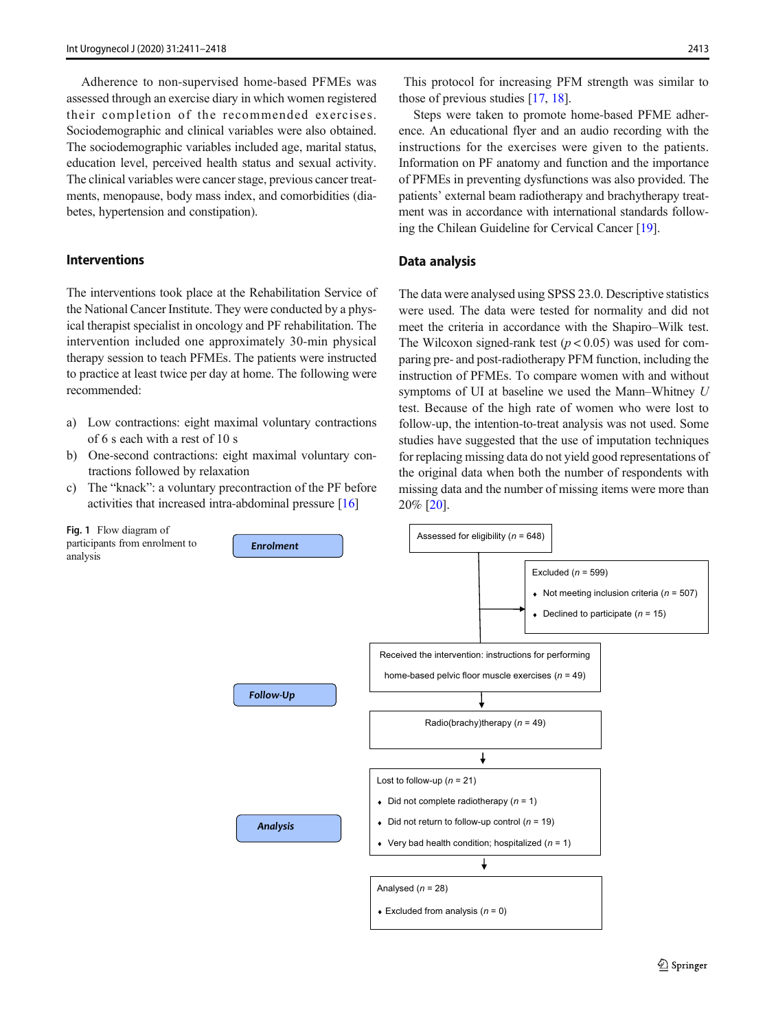<span id="page-2-0"></span>Adherence to non-supervised home-based PFMEs was assessed through an exercise diary in which women registered their completion of the recommended exercises. Sociodemographic and clinical variables were also obtained. The sociodemographic variables included age, marital status, education level, perceived health status and sexual activity. The clinical variables were cancer stage, previous cancer treatments, menopause, body mass index, and comorbidities (diabetes, hypertension and constipation).

#### Interventions

Fig. 1 Flow diagram of

analysis

The interventions took place at the Rehabilitation Service of the National Cancer Institute. They were conducted by a physical therapist specialist in oncology and PF rehabilitation. The intervention included one approximately 30-min physical therapy session to teach PFMEs. The patients were instructed to practice at least twice per day at home. The following were recommended:

- a) Low contractions: eight maximal voluntary contractions of 6 s each with a rest of 10 s
- b) One-second contractions: eight maximal voluntary contractions followed by relaxation
- c) The "knack": a voluntary precontraction of the PF before activities that increased intra-abdominal pressure [[16](#page-6-0)]

This protocol for increasing PFM strength was similar to those of previous studies [[17](#page-6-0), [18](#page-6-0)].

Steps were taken to promote home-based PFME adherence. An educational flyer and an audio recording with the instructions for the exercises were given to the patients. Information on PF anatomy and function and the importance of PFMEs in preventing dysfunctions was also provided. The patients' external beam radiotherapy and brachytherapy treatment was in accordance with international standards following the Chilean Guideline for Cervical Cancer [[19](#page-6-0)].

## Data analysis

The data were analysed using SPSS 23.0. Descriptive statistics were used. The data were tested for normality and did not meet the criteria in accordance with the Shapiro–Wilk test. The Wilcoxon signed-rank test  $(p < 0.05)$  was used for comparing pre- and post-radiotherapy PFM function, including the instruction of PFMEs. To compare women with and without symptoms of UI at baseline we used the Mann–Whitney U test. Because of the high rate of women who were lost to follow-up, the intention-to-treat analysis was not used. Some studies have suggested that the use of imputation techniques for replacing missing data do not yield good representations of the original data when both the number of respondents with missing data and the number of missing items were more than 20% [[20\]](#page-7-0).

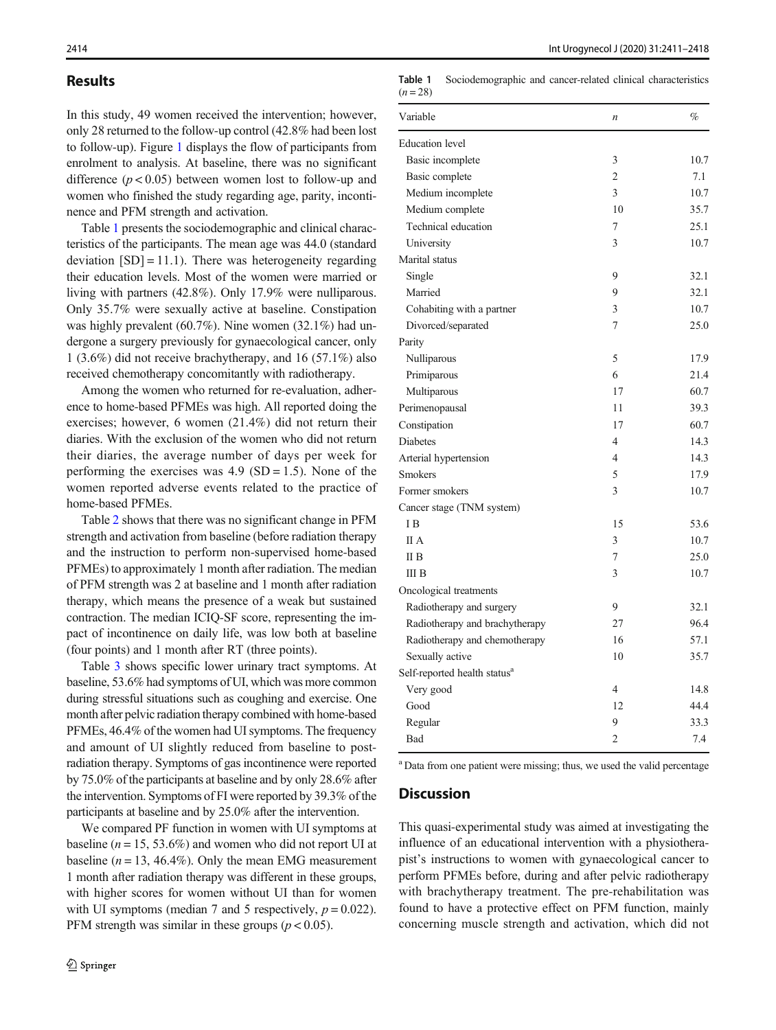## Results

In this study, 49 women received the intervention; however, only 28 returned to the follow-up control (42.8% had been lost to follow-up). Figure [1](#page-2-0) displays the flow of participants from enrolment to analysis. At baseline, there was no significant difference  $(p < 0.05)$  between women lost to follow-up and women who finished the study regarding age, parity, incontinence and PFM strength and activation.

Table 1 presents the sociodemographic and clinical characteristics of the participants. The mean age was 44.0 (standard deviation  $[SD] = 11.1$ . There was heterogeneity regarding their education levels. Most of the women were married or living with partners (42.8%). Only 17.9% were nulliparous. Only 35.7% were sexually active at baseline. Constipation was highly prevalent (60.7%). Nine women (32.1%) had undergone a surgery previously for gynaecological cancer, only 1 (3.6%) did not receive brachytherapy, and 16 (57.1%) also received chemotherapy concomitantly with radiotherapy.

Among the women who returned for re-evaluation, adherence to home-based PFMEs was high. All reported doing the exercises; however, 6 women (21.4%) did not return their diaries. With the exclusion of the women who did not return their diaries, the average number of days per week for performing the exercises was  $4.9$  (SD = 1.5). None of the women reported adverse events related to the practice of home-based PFMEs.

Table [2](#page-4-0) shows that there was no significant change in PFM strength and activation from baseline (before radiation therapy and the instruction to perform non-supervised home-based PFMEs) to approximately 1 month after radiation. The median of PFM strength was 2 at baseline and 1 month after radiation therapy, which means the presence of a weak but sustained contraction. The median ICIQ-SF score, representing the impact of incontinence on daily life, was low both at baseline (four points) and 1 month after RT (three points).

Table [3](#page-5-0) shows specific lower urinary tract symptoms. At baseline, 53.6% had symptoms of UI, which was more common during stressful situations such as coughing and exercise. One month after pelvic radiation therapy combined with home-based PFMEs, 46.4% of the women had UI symptoms. The frequency and amount of UI slightly reduced from baseline to postradiation therapy. Symptoms of gas incontinence were reported by 75.0% of the participants at baseline and by only 28.6% after the intervention. Symptoms of FI were reported by 39.3% of the participants at baseline and by 25.0% after the intervention.

We compared PF function in women with UI symptoms at baseline ( $n = 15, 53.6\%$ ) and women who did not report UI at baseline ( $n = 13$ , 46.4%). Only the mean EMG measurement 1 month after radiation therapy was different in these groups, with higher scores for women without UI than for women with UI symptoms (median 7 and 5 respectively,  $p = 0.022$ ). PFM strength was similar in these groups ( $p < 0.05$ ).

Table 1 Sociodemographic and cancer-related clinical characteristics  $(n = 28)$ 

| <b>Education</b> level<br>Basic incomplete<br>3<br>10.7<br>$\overline{c}$<br>7.1<br>Basic complete<br>3<br>Medium incomplete<br>10.7<br>10<br>35.7<br>Medium complete<br>Technical education<br>7<br>25.1<br>3<br>University<br>10.7<br>Marital status<br>9<br>Single<br>32.1<br>9<br>Married<br>32.1<br>3<br>10.7<br>Cohabiting with a partner<br>7<br>25.0<br>Divorced/separated<br>Parity<br>5<br>17.9<br>Nulliparous<br>6<br>21.4<br>Primiparous<br>17<br>60.7<br>Multiparous<br>11<br>39.3<br>Perimenopausal<br>17<br>60.7<br>Constipation<br>Diabetes<br>4<br>14.3<br>4<br>14.3<br>Arterial hypertension<br>5<br>17.9<br><b>Smokers</b><br>3<br>Former smokers<br>10.7<br>Cancer stage (TNM system)<br>I <sub>B</sub><br>15<br>53.6<br>II A<br>3<br>10.7<br>25.0<br>II B<br>7<br>3<br>10.7<br>III B<br>Oncological treatments<br>9<br>32.1<br>Radiotherapy and surgery<br>96.4<br>Radiotherapy and brachytherapy<br>27<br>16<br>Radiotherapy and chemotherapy<br>57.1<br>10<br>35.7<br>Sexually active<br>Self-reported health status <sup>a</sup><br>$\overline{4}$<br>14.8<br>Very good<br>12<br>44.4<br>Good<br>9<br>33.3<br>Regular<br>$\overline{2}$<br><b>Bad</b><br>7.4 | Variable | $\boldsymbol{n}$ | $\%$ |
|--------------------------------------------------------------------------------------------------------------------------------------------------------------------------------------------------------------------------------------------------------------------------------------------------------------------------------------------------------------------------------------------------------------------------------------------------------------------------------------------------------------------------------------------------------------------------------------------------------------------------------------------------------------------------------------------------------------------------------------------------------------------------------------------------------------------------------------------------------------------------------------------------------------------------------------------------------------------------------------------------------------------------------------------------------------------------------------------------------------------------------------------------------------------------------------|----------|------------------|------|
|                                                                                                                                                                                                                                                                                                                                                                                                                                                                                                                                                                                                                                                                                                                                                                                                                                                                                                                                                                                                                                                                                                                                                                                      |          |                  |      |
|                                                                                                                                                                                                                                                                                                                                                                                                                                                                                                                                                                                                                                                                                                                                                                                                                                                                                                                                                                                                                                                                                                                                                                                      |          |                  |      |
|                                                                                                                                                                                                                                                                                                                                                                                                                                                                                                                                                                                                                                                                                                                                                                                                                                                                                                                                                                                                                                                                                                                                                                                      |          |                  |      |
|                                                                                                                                                                                                                                                                                                                                                                                                                                                                                                                                                                                                                                                                                                                                                                                                                                                                                                                                                                                                                                                                                                                                                                                      |          |                  |      |
|                                                                                                                                                                                                                                                                                                                                                                                                                                                                                                                                                                                                                                                                                                                                                                                                                                                                                                                                                                                                                                                                                                                                                                                      |          |                  |      |
|                                                                                                                                                                                                                                                                                                                                                                                                                                                                                                                                                                                                                                                                                                                                                                                                                                                                                                                                                                                                                                                                                                                                                                                      |          |                  |      |
|                                                                                                                                                                                                                                                                                                                                                                                                                                                                                                                                                                                                                                                                                                                                                                                                                                                                                                                                                                                                                                                                                                                                                                                      |          |                  |      |
|                                                                                                                                                                                                                                                                                                                                                                                                                                                                                                                                                                                                                                                                                                                                                                                                                                                                                                                                                                                                                                                                                                                                                                                      |          |                  |      |
|                                                                                                                                                                                                                                                                                                                                                                                                                                                                                                                                                                                                                                                                                                                                                                                                                                                                                                                                                                                                                                                                                                                                                                                      |          |                  |      |
|                                                                                                                                                                                                                                                                                                                                                                                                                                                                                                                                                                                                                                                                                                                                                                                                                                                                                                                                                                                                                                                                                                                                                                                      |          |                  |      |
|                                                                                                                                                                                                                                                                                                                                                                                                                                                                                                                                                                                                                                                                                                                                                                                                                                                                                                                                                                                                                                                                                                                                                                                      |          |                  |      |
|                                                                                                                                                                                                                                                                                                                                                                                                                                                                                                                                                                                                                                                                                                                                                                                                                                                                                                                                                                                                                                                                                                                                                                                      |          |                  |      |
|                                                                                                                                                                                                                                                                                                                                                                                                                                                                                                                                                                                                                                                                                                                                                                                                                                                                                                                                                                                                                                                                                                                                                                                      |          |                  |      |
|                                                                                                                                                                                                                                                                                                                                                                                                                                                                                                                                                                                                                                                                                                                                                                                                                                                                                                                                                                                                                                                                                                                                                                                      |          |                  |      |
|                                                                                                                                                                                                                                                                                                                                                                                                                                                                                                                                                                                                                                                                                                                                                                                                                                                                                                                                                                                                                                                                                                                                                                                      |          |                  |      |
|                                                                                                                                                                                                                                                                                                                                                                                                                                                                                                                                                                                                                                                                                                                                                                                                                                                                                                                                                                                                                                                                                                                                                                                      |          |                  |      |
|                                                                                                                                                                                                                                                                                                                                                                                                                                                                                                                                                                                                                                                                                                                                                                                                                                                                                                                                                                                                                                                                                                                                                                                      |          |                  |      |
|                                                                                                                                                                                                                                                                                                                                                                                                                                                                                                                                                                                                                                                                                                                                                                                                                                                                                                                                                                                                                                                                                                                                                                                      |          |                  |      |
|                                                                                                                                                                                                                                                                                                                                                                                                                                                                                                                                                                                                                                                                                                                                                                                                                                                                                                                                                                                                                                                                                                                                                                                      |          |                  |      |
|                                                                                                                                                                                                                                                                                                                                                                                                                                                                                                                                                                                                                                                                                                                                                                                                                                                                                                                                                                                                                                                                                                                                                                                      |          |                  |      |
|                                                                                                                                                                                                                                                                                                                                                                                                                                                                                                                                                                                                                                                                                                                                                                                                                                                                                                                                                                                                                                                                                                                                                                                      |          |                  |      |
|                                                                                                                                                                                                                                                                                                                                                                                                                                                                                                                                                                                                                                                                                                                                                                                                                                                                                                                                                                                                                                                                                                                                                                                      |          |                  |      |
|                                                                                                                                                                                                                                                                                                                                                                                                                                                                                                                                                                                                                                                                                                                                                                                                                                                                                                                                                                                                                                                                                                                                                                                      |          |                  |      |
|                                                                                                                                                                                                                                                                                                                                                                                                                                                                                                                                                                                                                                                                                                                                                                                                                                                                                                                                                                                                                                                                                                                                                                                      |          |                  |      |
|                                                                                                                                                                                                                                                                                                                                                                                                                                                                                                                                                                                                                                                                                                                                                                                                                                                                                                                                                                                                                                                                                                                                                                                      |          |                  |      |
|                                                                                                                                                                                                                                                                                                                                                                                                                                                                                                                                                                                                                                                                                                                                                                                                                                                                                                                                                                                                                                                                                                                                                                                      |          |                  |      |
|                                                                                                                                                                                                                                                                                                                                                                                                                                                                                                                                                                                                                                                                                                                                                                                                                                                                                                                                                                                                                                                                                                                                                                                      |          |                  |      |
|                                                                                                                                                                                                                                                                                                                                                                                                                                                                                                                                                                                                                                                                                                                                                                                                                                                                                                                                                                                                                                                                                                                                                                                      |          |                  |      |
|                                                                                                                                                                                                                                                                                                                                                                                                                                                                                                                                                                                                                                                                                                                                                                                                                                                                                                                                                                                                                                                                                                                                                                                      |          |                  |      |
|                                                                                                                                                                                                                                                                                                                                                                                                                                                                                                                                                                                                                                                                                                                                                                                                                                                                                                                                                                                                                                                                                                                                                                                      |          |                  |      |
|                                                                                                                                                                                                                                                                                                                                                                                                                                                                                                                                                                                                                                                                                                                                                                                                                                                                                                                                                                                                                                                                                                                                                                                      |          |                  |      |
|                                                                                                                                                                                                                                                                                                                                                                                                                                                                                                                                                                                                                                                                                                                                                                                                                                                                                                                                                                                                                                                                                                                                                                                      |          |                  |      |
|                                                                                                                                                                                                                                                                                                                                                                                                                                                                                                                                                                                                                                                                                                                                                                                                                                                                                                                                                                                                                                                                                                                                                                                      |          |                  |      |
|                                                                                                                                                                                                                                                                                                                                                                                                                                                                                                                                                                                                                                                                                                                                                                                                                                                                                                                                                                                                                                                                                                                                                                                      |          |                  |      |
|                                                                                                                                                                                                                                                                                                                                                                                                                                                                                                                                                                                                                                                                                                                                                                                                                                                                                                                                                                                                                                                                                                                                                                                      |          |                  |      |
|                                                                                                                                                                                                                                                                                                                                                                                                                                                                                                                                                                                                                                                                                                                                                                                                                                                                                                                                                                                                                                                                                                                                                                                      |          |                  |      |
|                                                                                                                                                                                                                                                                                                                                                                                                                                                                                                                                                                                                                                                                                                                                                                                                                                                                                                                                                                                                                                                                                                                                                                                      |          |                  |      |

<sup>a</sup> Data from one patient were missing; thus, we used the valid percentage

## **Discussion**

This quasi-experimental study was aimed at investigating the influence of an educational intervention with a physiotherapist's instructions to women with gynaecological cancer to perform PFMEs before, during and after pelvic radiotherapy with brachytherapy treatment. The pre-rehabilitation was found to have a protective effect on PFM function, mainly concerning muscle strength and activation, which did not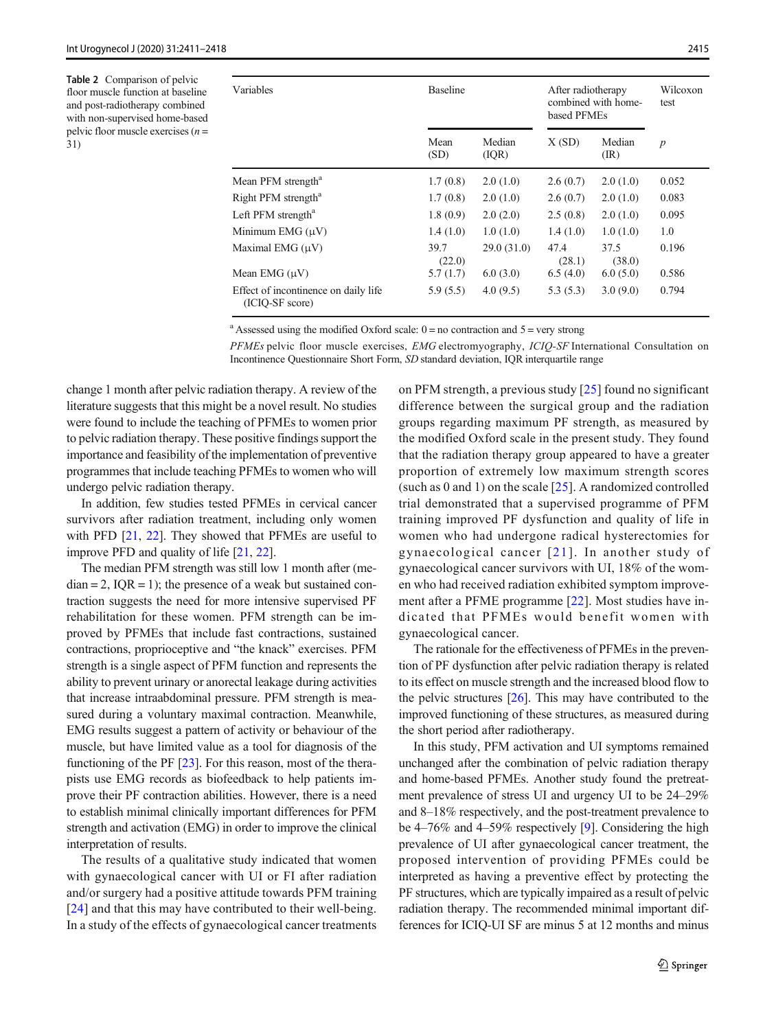<span id="page-4-0"></span>Table 2 Comparison of pelvic floor muscle function at baseline and post-radiotherapy combined with non-supervised home-based pelvic floor muscle exercises  $(n =$ 31)

| Variables                                               | <b>Baseline</b> |                  | After radiotherapy<br>combined with home-<br>based PFMEs |                          | Wilcoxon<br>test |  |
|---------------------------------------------------------|-----------------|------------------|----------------------------------------------------------|--------------------------|------------------|--|
|                                                         | Mean<br>(SD)    | Median<br>( IQR) | X(SD)                                                    | Median<br>$(\mathbb{R})$ | $\boldsymbol{p}$ |  |
| Mean PFM strength <sup>a</sup>                          | 1.7(0.8)        | 2.0(1.0)         | 2.6(0.7)                                                 | 2.0(1.0)                 | 0.052            |  |
| Right PFM strength <sup>a</sup>                         | 1.7(0.8)        | 2.0(1.0)         | 2.6(0.7)                                                 | 2.0(1.0)                 | 0.083            |  |
| Left PFM strength <sup>a</sup>                          | 1.8(0.9)        | 2.0(2.0)         | 2.5(0.8)                                                 | 2.0(1.0)                 | 0.095            |  |
| Minimum $EMG(\mu V)$                                    | 1.4(1.0)        | 1.0(1.0)         | 1.4(1.0)                                                 | 1.0(1.0)                 | 1.0              |  |
| Maximal EMG (µV)                                        | 39.7<br>(22.0)  | 29.0(31.0)       | 47.4<br>(28.1)                                           | 37.5<br>(38.0)           | 0.196            |  |
| Mean EMG (µV)                                           | 5.7(1.7)        | 6.0(3.0)         | 6.5(4.0)                                                 | 6.0(5.0)                 | 0.586            |  |
| Effect of incontinence on daily life<br>(ICIO-SF score) | 5.9(5.5)        | 4.0(9.5)         | 5.3(5.3)                                                 | 3.0(9.0)                 | 0.794            |  |

<sup>a</sup> Assessed using the modified Oxford scale:  $0 =$  no contraction and  $5 =$  very strong

PFMEs pelvic floor muscle exercises, EMG electromyography, ICIQ-SF International Consultation on Incontinence Questionnaire Short Form, SD standard deviation, IQR interquartile range

change 1 month after pelvic radiation therapy. A review of the literature suggests that this might be a novel result. No studies were found to include the teaching of PFMEs to women prior to pelvic radiation therapy. These positive findings support the importance and feasibility of the implementation of preventive programmes that include teaching PFMEs to women who will undergo pelvic radiation therapy.

In addition, few studies tested PFMEs in cervical cancer survivors after radiation treatment, including only women with PFD [\[21](#page-7-0), [22](#page-7-0)]. They showed that PFMEs are useful to improve PFD and quality of life [[21,](#page-7-0) [22\]](#page-7-0).

The median PFM strength was still low 1 month after (me $dian = 2$ ,  $IQR = 1$ ; the presence of a weak but sustained contraction suggests the need for more intensive supervised PF rehabilitation for these women. PFM strength can be improved by PFMEs that include fast contractions, sustained contractions, proprioceptive and "the knack" exercises. PFM strength is a single aspect of PFM function and represents the ability to prevent urinary or anorectal leakage during activities that increase intraabdominal pressure. PFM strength is measured during a voluntary maximal contraction. Meanwhile, EMG results suggest a pattern of activity or behaviour of the muscle, but have limited value as a tool for diagnosis of the functioning of the PF [[23](#page-7-0)]. For this reason, most of the therapists use EMG records as biofeedback to help patients improve their PF contraction abilities. However, there is a need to establish minimal clinically important differences for PFM strength and activation (EMG) in order to improve the clinical interpretation of results.

The results of a qualitative study indicated that women with gynaecological cancer with UI or FI after radiation and/or surgery had a positive attitude towards PFM training [\[24\]](#page-7-0) and that this may have contributed to their well-being. In a study of the effects of gynaecological cancer treatments

on PFM strength, a previous study [\[25\]](#page-7-0) found no significant difference between the surgical group and the radiation groups regarding maximum PF strength, as measured by the modified Oxford scale in the present study. They found that the radiation therapy group appeared to have a greater proportion of extremely low maximum strength scores (such as 0 and 1) on the scale [\[25\]](#page-7-0). A randomized controlled trial demonstrated that a supervised programme of PFM training improved PF dysfunction and quality of life in women who had undergone radical hysterectomies for gynaecological cancer [[21\]](#page-7-0). In another study of gynaecological cancer survivors with UI, 18% of the women who had received radiation exhibited symptom improvement after a PFME programme [\[22\]](#page-7-0). Most studies have indicated that PFMEs would benefit women with gynaecological cancer.

The rationale for the effectiveness of PFMEs in the prevention of PF dysfunction after pelvic radiation therapy is related to its effect on muscle strength and the increased blood flow to the pelvic structures [\[26](#page-7-0)]. This may have contributed to the improved functioning of these structures, as measured during the short period after radiotherapy.

In this study, PFM activation and UI symptoms remained unchanged after the combination of pelvic radiation therapy and home-based PFMEs. Another study found the pretreatment prevalence of stress UI and urgency UI to be 24–29% and 8–18% respectively, and the post-treatment prevalence to be 4–76% and 4–59% respectively [[9\]](#page-6-0). Considering the high prevalence of UI after gynaecological cancer treatment, the proposed intervention of providing PFMEs could be interpreted as having a preventive effect by protecting the PF structures, which are typically impaired as a result of pelvic radiation therapy. The recommended minimal important differences for ICIQ-UI SF are minus 5 at 12 months and minus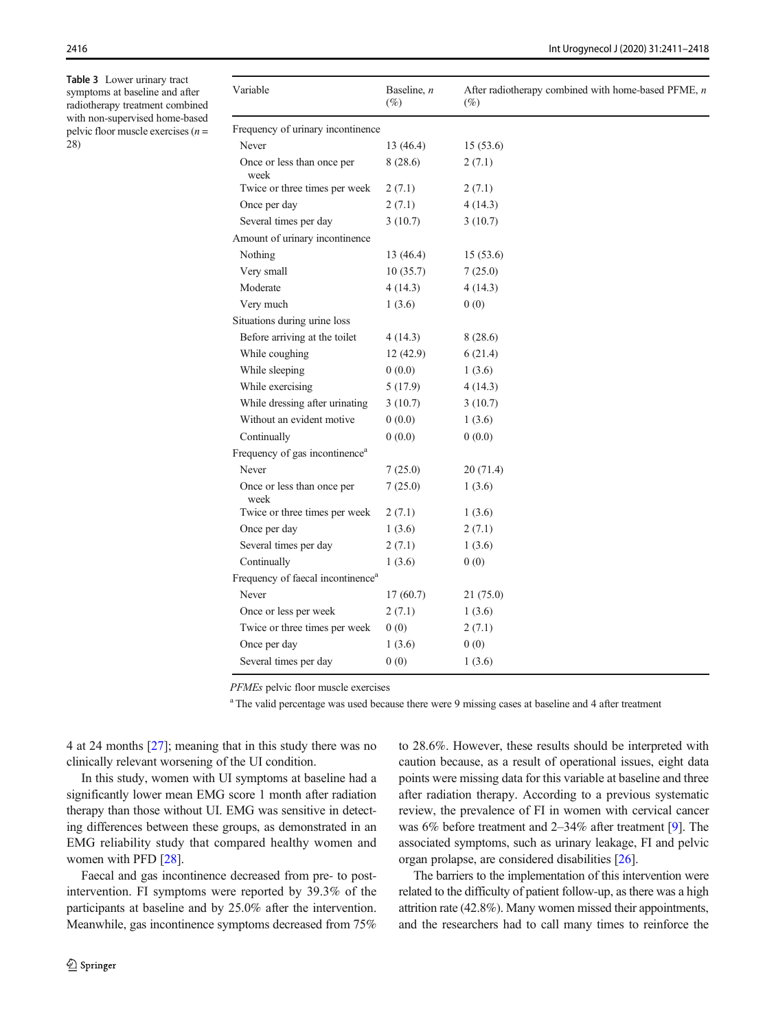<span id="page-5-0"></span>Table 3 Lower urinary tract symptoms at baseline and after radiotherapy treatment combined with non-supervised home-based pelvic floor muscle exercises  $(n =$ 28)

| Variable                                      | Baseline, $n$<br>$(\%)$ | After radiotherapy combined with home-based PFME, $n$<br>$(\%)$ |  |  |  |  |
|-----------------------------------------------|-------------------------|-----------------------------------------------------------------|--|--|--|--|
| Frequency of urinary incontinence             |                         |                                                                 |  |  |  |  |
| Never                                         | 13 (46.4)               | 15(53.6)                                                        |  |  |  |  |
| Once or less than once per<br>week            | 8 (28.6)                | 2(7.1)                                                          |  |  |  |  |
| Twice or three times per week                 | 2(7.1)                  | 2(7.1)                                                          |  |  |  |  |
| Once per day                                  | 2(7.1)                  | 4(14.3)                                                         |  |  |  |  |
| Several times per day                         | 3(10.7)                 | 3(10.7)                                                         |  |  |  |  |
| Amount of urinary incontinence                |                         |                                                                 |  |  |  |  |
| Nothing                                       | 13(46.4)                | 15(53.6)                                                        |  |  |  |  |
| Very small                                    | 10(35.7)                | 7(25.0)                                                         |  |  |  |  |
| Moderate                                      | 4(14.3)                 | 4(14.3)                                                         |  |  |  |  |
| Very much                                     | 1(3.6)                  | 0(0)                                                            |  |  |  |  |
| Situations during urine loss                  |                         |                                                                 |  |  |  |  |
| Before arriving at the toilet                 | 4 (14.3)                | 8 (28.6)                                                        |  |  |  |  |
| While coughing                                | 12(42.9)                | 6(21.4)                                                         |  |  |  |  |
| While sleeping                                | 0(0.0)                  | 1(3.6)                                                          |  |  |  |  |
| While exercising                              | 5 (17.9)                | 4(14.3)                                                         |  |  |  |  |
| While dressing after urinating                | 3(10.7)                 | 3(10.7)                                                         |  |  |  |  |
| Without an evident motive                     | 0(0.0)                  | 1(3.6)                                                          |  |  |  |  |
| Continually                                   | 0(0.0)                  | 0(0.0)                                                          |  |  |  |  |
| Frequency of gas incontinence <sup>a</sup>    |                         |                                                                 |  |  |  |  |
| Never                                         | 7(25.0)                 | 20(71.4)                                                        |  |  |  |  |
| Once or less than once per<br>week            | 7(25.0)                 | 1(3.6)                                                          |  |  |  |  |
| Twice or three times per week                 | 2(7.1)                  | 1(3.6)                                                          |  |  |  |  |
| Once per day                                  | 1(3.6)                  | 2(7.1)                                                          |  |  |  |  |
| Several times per day                         | 2(7.1)                  | 1(3.6)                                                          |  |  |  |  |
| Continually                                   | 1(3.6)                  | 0(0)                                                            |  |  |  |  |
| Frequency of faecal incontinence <sup>a</sup> |                         |                                                                 |  |  |  |  |
| Never                                         | 17(60.7)                | 21 (75.0)                                                       |  |  |  |  |
| Once or less per week                         | 2(7.1)                  | 1(3.6)                                                          |  |  |  |  |
| Twice or three times per week                 | 0(0)                    | 2(7.1)                                                          |  |  |  |  |
| Once per day                                  | 1(3.6)                  | 0(0)                                                            |  |  |  |  |
| Several times per day                         | 0(0)                    | 1(3.6)                                                          |  |  |  |  |

PFMEs pelvic floor muscle exercises

<sup>a</sup> The valid percentage was used because there were 9 missing cases at baseline and 4 after treatment

4 at 24 months [\[27\]](#page-7-0); meaning that in this study there was no clinically relevant worsening of the UI condition.

In this study, women with UI symptoms at baseline had a significantly lower mean EMG score 1 month after radiation therapy than those without UI. EMG was sensitive in detecting differences between these groups, as demonstrated in an EMG reliability study that compared healthy women and women with PFD [\[28\]](#page-7-0).

Faecal and gas incontinence decreased from pre- to postintervention. FI symptoms were reported by 39.3% of the participants at baseline and by 25.0% after the intervention. Meanwhile, gas incontinence symptoms decreased from 75% to 28.6%. However, these results should be interpreted with caution because, as a result of operational issues, eight data points were missing data for this variable at baseline and three after radiation therapy. According to a previous systematic review, the prevalence of FI in women with cervical cancer was 6% before treatment and 2–34% after treatment [[9\]](#page-6-0). The associated symptoms, such as urinary leakage, FI and pelvic organ prolapse, are considered disabilities [[26\]](#page-7-0).

The barriers to the implementation of this intervention were related to the difficulty of patient follow-up, as there was a high attrition rate (42.8%). Many women missed their appointments, and the researchers had to call many times to reinforce the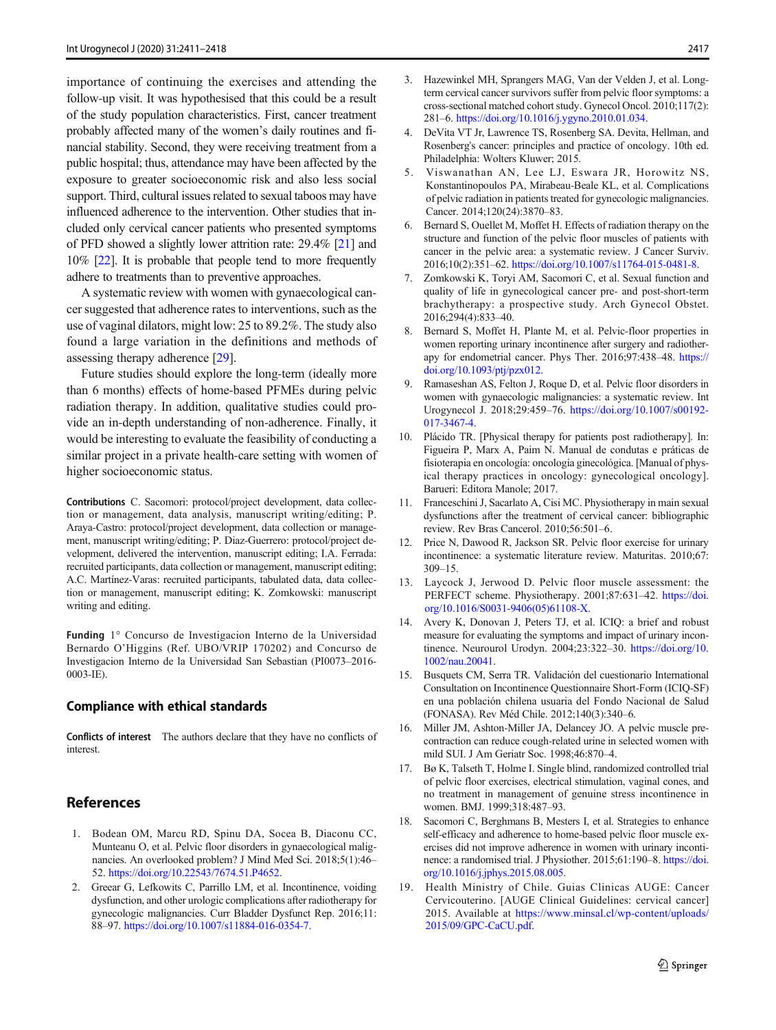<span id="page-6-0"></span>importance of continuing the exercises and attending the follow-up visit. It was hypothesised that this could be a result of the study population characteristics. First, cancer treatment probably affected many of the women's daily routines and financial stability. Second, they were receiving treatment from a public hospital; thus, attendance may have been affected by the exposure to greater socioeconomic risk and also less social support. Third, cultural issues related to sexual taboos may have influenced adherence to the intervention. Other studies that included only cervical cancer patients who presented symptoms of PFD showed a slightly lower attrition rate: 29.4% [[21](#page-7-0)] and 10% [\[22\]](#page-7-0). It is probable that people tend to more frequently adhere to treatments than to preventive approaches.

A systematic review with women with gynaecological cancer suggested that adherence rates to interventions, such as the use of vaginal dilators, might low: 25 to 89.2%. The study also found a large variation in the definitions and methods of assessing therapy adherence [\[29\]](#page-7-0).

Future studies should explore the long-term (ideally more than 6 months) effects of home-based PFMEs during pelvic radiation therapy. In addition, qualitative studies could provide an in-depth understanding of non-adherence. Finally, it would be interesting to evaluate the feasibility of conducting a similar project in a private health-care setting with women of higher socioeconomic status.

Contributions C. Sacomori: protocol/project development, data collection or management, data analysis, manuscript writing/editing; P. Araya-Castro: protocol/project development, data collection or management, manuscript writing/editing; P. Diaz-Guerrero: protocol/project development, delivered the intervention, manuscript editing; I.A. Ferrada: recruited participants, data collection or management, manuscript editing; A.C. Martínez-Varas: recruited participants, tabulated data, data collection or management, manuscript editing; K. Zomkowski: manuscript writing and editing.

Funding 1° Concurso de Investigacion Interno de la Universidad Bernardo O'Higgins (Ref. UBO/VRIP 170202) and Concurso de Investigacion Interno de la Universidad San Sebastian (PI0073–2016- 0003-IE).

#### Compliance with ethical standards

Conflicts of interest The authors declare that they have no conflicts of interest.

### References

- 1. Bodean OM, Marcu RD, Spinu DA, Socea B, Diaconu CC, Munteanu O, et al. Pelvic floor disorders in gynaecological malignancies. An overlooked problem? J Mind Med Sci. 2018;5(1):46– 52. <https://doi.org/10.22543/7674.51.P4652>.
- 2. Greear G, Lefkowits C, Parrillo LM, et al. Incontinence, voiding dysfunction, and other urologic complications after radiotherapy for gynecologic malignancies. Curr Bladder Dysfunct Rep. 2016;11: 88–97. <https://doi.org/10.1007/s11884-016-0354-7>.
- 3. Hazewinkel MH, Sprangers MAG, Van der Velden J, et al. Longterm cervical cancer survivors suffer from pelvic floor symptoms: a cross-sectional matched cohort study. Gynecol Oncol. 2010;117(2): 281–6. <https://doi.org/10.1016/j.ygyno.2010.01.034>.
- 4. DeVita VT Jr, Lawrence TS, Rosenberg SA. Devita, Hellman, and Rosenberg's cancer: principles and practice of oncology. 10th ed. Philadelphia: Wolters Kluwer; 2015.
- 5. Viswanathan AN, Lee LJ, Eswara JR, Horowitz NS, Konstantinopoulos PA, Mirabeau-Beale KL, et al. Complications of pelvic radiation in patients treated for gynecologic malignancies. Cancer. 2014;120(24):3870–83.
- 6. Bernard S, Ouellet M, Moffet H. Effects of radiation therapy on the structure and function of the pelvic floor muscles of patients with cancer in the pelvic area: a systematic review. J Cancer Surviv. 2016;10(2):351–62. [https://doi.org/10.1007/s11764-015-0481-8.](https://doi.org/10.1007/s11764-015-0481-8)
- 7. Zomkowski K, Toryi AM, Sacomori C, et al. Sexual function and quality of life in gynecological cancer pre- and post-short-term brachytherapy: a prospective study. Arch Gynecol Obstet. 2016;294(4):833–40.
- 8. Bernard S, Moffet H, Plante M, et al. Pelvic-floor properties in women reporting urinary incontinence after surgery and radiotherapy for endometrial cancer. Phys Ther. 2016;97:438–48. [https://](https://doi.org/10.1093/ptj/pzx012) [doi.org/10.1093/ptj/pzx012](https://doi.org/10.1093/ptj/pzx012).
- 9. Ramaseshan AS, Felton J, Roque D, et al. Pelvic floor disorders in women with gynaecologic malignancies: a systematic review. Int Urogynecol J. 2018;29:459–76. [https://doi.org/10.1007/s00192-](https://doi.org/10.1007/s00192-017-3467-4) [017-3467-4.](https://doi.org/10.1007/s00192-017-3467-4)
- 10. Plácido TR. [Physical therapy for patients post radiotherapy]. In: Figueira P, Marx A, Paim N. Manual de condutas e práticas de fisioterapia en oncología: oncología ginecológica. [Manual of physical therapy practices in oncology: gynecological oncology]. Barueri: Editora Manole; 2017.
- 11. Franceschini J, Sacarlato A, Cisi MC. Physiotherapy in main sexual dysfunctions after the treatment of cervical cancer: bibliographic review. Rev Bras Cancerol. 2010;56:501–6.
- 12. Price N, Dawood R, Jackson SR. Pelvic floor exercise for urinary incontinence: a systematic literature review. Maturitas. 2010;67: 309–15.
- 13. Laycock J, Jerwood D. Pelvic floor muscle assessment: the PERFECT scheme. Physiotherapy. 2001;87:631–42. [https://doi.](https://doi.org/10.1016/S0031-9406(05)61108-X) [org/10.1016/S0031-9406\(05\)61108-X](https://doi.org/10.1016/S0031-9406(05)61108-X).
- 14. Avery K, Donovan J, Peters TJ, et al. ICIQ: a brief and robust measure for evaluating the symptoms and impact of urinary incontinence. Neurourol Urodyn. 2004;23:322–30. [https://doi.org/10.](https://doi.org/10.1002/nau.20041) [1002/nau.20041.](https://doi.org/10.1002/nau.20041)
- 15. Busquets CM, Serra TR. Validación del cuestionario International Consultation on Incontinence Questionnaire Short-Form (ICIQ-SF) en una población chilena usuaria del Fondo Nacional de Salud (FONASA). Rev Méd Chile. 2012;140(3):340–6.
- 16. Miller JM, Ashton-Miller JA, Delancey JO. A pelvic muscle precontraction can reduce cough-related urine in selected women with mild SUI. J Am Geriatr Soc. 1998;46:870–4.
- 17. Bø K, Talseth T, Holme I. Single blind, randomized controlled trial of pelvic floor exercises, electrical stimulation, vaginal cones, and no treatment in management of genuine stress incontinence in women. BMJ. 1999;318:487–93.
- 18. Sacomori C, Berghmans B, Mesters I, et al. Strategies to enhance self-efficacy and adherence to home-based pelvic floor muscle exercises did not improve adherence in women with urinary incontinence: a randomised trial. J Physiother. 2015;61:190–8. [https://doi.](https://doi.org/10.1016/j.jphys.2015.08.005) [org/10.1016/j.jphys.2015.08.005.](https://doi.org/10.1016/j.jphys.2015.08.005)
- 19. Health Ministry of Chile. Guias Clinicas AUGE: Cancer Cervicouterino. [AUGE Clinical Guidelines: cervical cancer] 2015. Available at [https://www.minsal.cl/wp-content/uploads/](https://www.minsal.cl/wpontent/uploads/2015/09/GPC-aCU.pdf) [2015/09/GPC-CaCU.pdf](https://www.minsal.cl/wpontent/uploads/2015/09/GPC-aCU.pdf).